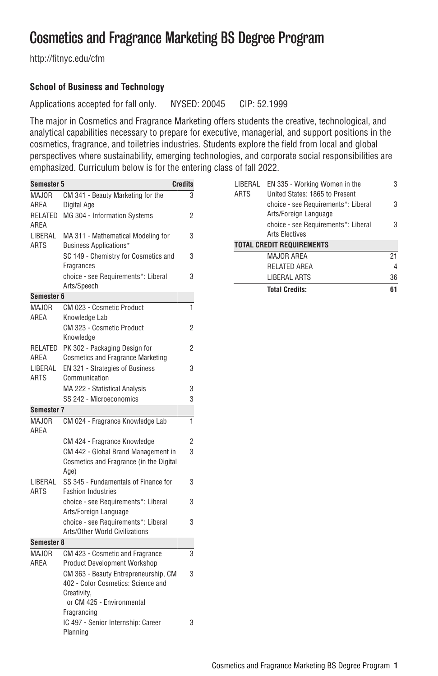## Cosmetics and Fragrance Marketing BS Degree Program

[http://fitnyc.edu/cfm](http://fitnyc.edu/cfm/)

## **School of Business and Technology**

Applications accepted for fall only. NYSED: 20045 CIP: 52.1999

The major in Cosmetics and Fragrance Marketing offers students the creative, technological, and analytical capabilities necessary to prepare for executive, managerial, and support positions in the cosmetics, fragrance, and toiletries industries. Students explore the field from local and global perspectives where sustainability, emerging technologies, and corporate social responsibilities are emphasized. Curriculum below is for the entering class of fall 2022.

| <b>Semester 5</b>      |                                                                                        | <b>Credits</b> |  |
|------------------------|----------------------------------------------------------------------------------------|----------------|--|
| <b>MAJOR</b>           | CM 341 - Beauty Marketing for the                                                      | 3              |  |
| AREA                   | Digital Age                                                                            |                |  |
| RELATED<br>AREA        | MG 304 - Information Systems                                                           | 2              |  |
| LIBERAL<br><b>ARTS</b> | MA 311 - Mathematical Modeling for<br><b>Business Applications*</b>                    | 3              |  |
|                        | SC 149 - Chemistry for Cosmetics and<br>Fragrances                                     | 3              |  |
|                        | choice - see Requirements*: Liberal<br>Arts/Speech                                     | 3              |  |
| Semester 6             |                                                                                        |                |  |
| <b>MAJOR</b>           | CM 023 - Cosmetic Product                                                              | $\mathbf{1}$   |  |
| AREA                   | Knowledge Lab                                                                          |                |  |
|                        | CM 323 - Cosmetic Product<br>Knowledge                                                 | 2              |  |
| RELATED<br>AREA        | PK 302 - Packaging Design for<br><b>Cosmetics and Fragrance Marketing</b>              | 2              |  |
| LIBERAL<br>ARTS        | EN 321 - Strategies of Business<br>Communication                                       | 3              |  |
|                        | MA 222 - Statistical Analysis                                                          | 3              |  |
|                        | SS 242 - Microeconomics                                                                | 3              |  |
| Semester 7             |                                                                                        |                |  |
| <b>MAJOR</b>           | CM 024 - Fragrance Knowledge Lab                                                       | $\mathbf{1}$   |  |
| AREA                   |                                                                                        |                |  |
|                        | CM 424 - Fragrance Knowledge                                                           | 2              |  |
|                        | CM 442 - Global Brand Management in<br>Cosmetics and Fragrance (in the Digital<br>Age) | 3              |  |
| LIBERAL<br>ARTS        | SS 345 - Fundamentals of Finance for<br><b>Fashion Industries</b>                      | 3              |  |
|                        | choice - see Requirements*: Liberal<br>Arts/Foreign Language                           | 3              |  |
|                        | choice - see Requirements*: Liberal<br>Arts/Other World Civilizations                  | 3              |  |
| Semester 8             |                                                                                        |                |  |
| MAJOR                  | CM 423 - Cosmetic and Fragrance                                                        | 3              |  |
| AREA                   | <b>Product Development Workshop</b>                                                    |                |  |
|                        | CM 363 - Beauty Entrepreneurship, CM                                                   | 3              |  |
|                        | 402 - Color Cosmetics: Science and                                                     |                |  |
|                        | Creativity,                                                                            |                |  |
|                        | or CM 425 - Environmental                                                              |                |  |
|                        | Fragrancing                                                                            |                |  |
|                        | IC 497 - Senior Internship: Career<br>Planning                                         | 3              |  |

| LIBERAL<br><b>ARTS</b>           | EN 335 - Working Women in the<br>United States: 1865 to Present | 3  |  |
|----------------------------------|-----------------------------------------------------------------|----|--|
|                                  | choice - see Requirements*: Liberal<br>Arts/Foreign Language    | З  |  |
|                                  | choice - see Requirements*: Liberal                             | 3  |  |
|                                  | <b>Arts Flectives</b>                                           |    |  |
| <b>TOTAL CREDIT REQUIREMENTS</b> |                                                                 |    |  |
|                                  | <b>MAJOR AREA</b>                                               | 21 |  |
|                                  | <b>RELATED AREA</b>                                             | 4  |  |
|                                  | <b>LIBERAL ARTS</b>                                             | 36 |  |
|                                  | <b>Total Credits:</b>                                           | 61 |  |